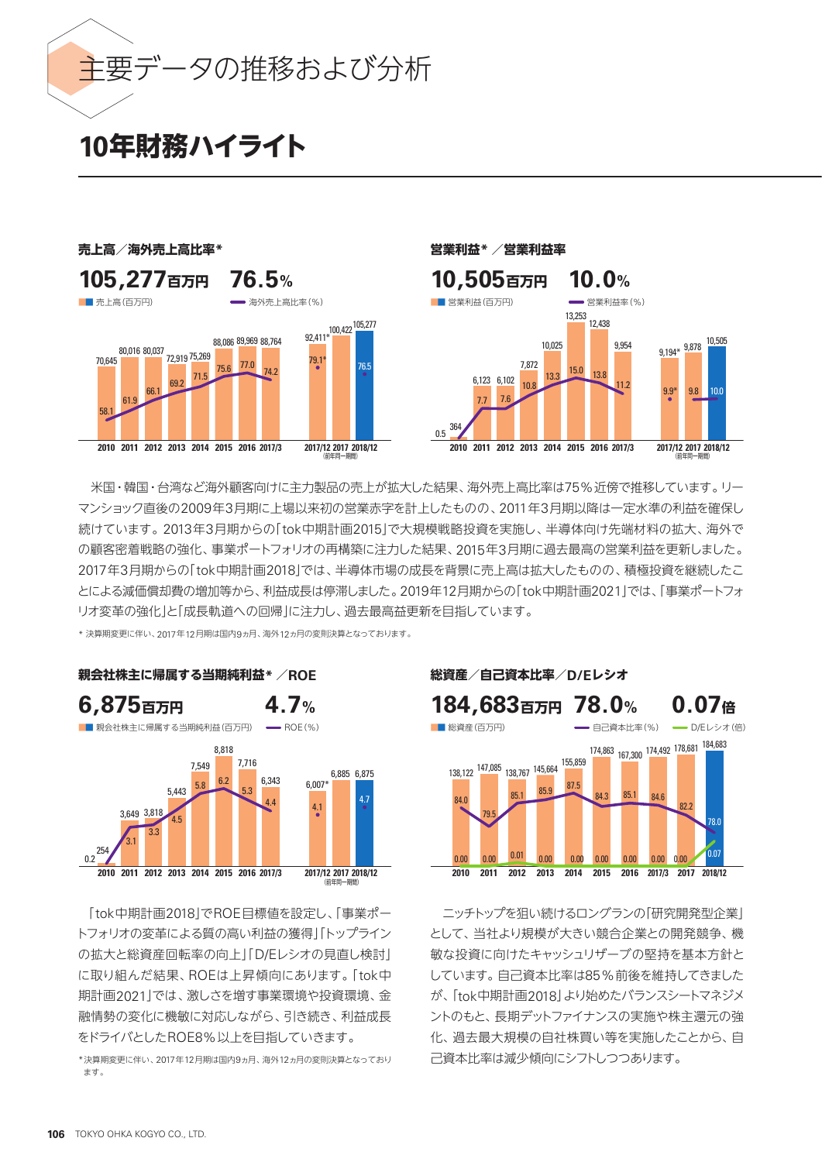

# **10年財務ハイライト**



米国・韓国・台湾など海外顧客向けに主力製品の売上が拡大した結果、海外売上高比率は75%近傍で推移しています。リー マンショック直後の2009年3月期に上場以来初の営業赤字を計上したものの、2011年3月期以降は一定水準の利益を確保し 続けています。2013年3月期からの「tok中期計画2015」で大規模戦略投資を実施し、半導体向け先端材料の拡大、海外で の顧客密着戦略の強化、事業ポートフォリオの再構築に注力した結果、2015年3月期に過去最高の営業利益を更新しました。 2017年3月期からの「tok中期計画2018」では、半導体市場の成長を背景に売上高は拡大したものの、積極投資を継続したこ とによる減価償却費の増加等から、利益成長は停滞しました。2019年12月期からの「tok中期計画2021」では、「事業ポートフォ リオ変革の強化」と「成長軌道への回帰」に注力し、過去最高益更新を目指しています。

\* 決算期変更に伴い、2017年12月期は国内9ヵ月、海外12ヵ月の変則決算となっております。



「tok中期計画2018」でROE目標値を設定し、「事業ポー トフォリオの変革による質の高い利益の獲得」「トップライン の拡大と総資産回転率の向上」「D/Eレシオの見直し検討」 に取り組んだ結果、ROEは上昇傾向にあります。「tok中 期計画2021」では、激しさを増す事業環境や投資環境、金 融情勢の変化に機敏に対応しながら、引き続き、利益成長 をドライバとしたROE8%以上を目指していきます。

\*決算期変更に伴い、2017年12月期は国内9ヵ月、海外12ヵ月の変則決算となっており ます。



ニッチトップを狙い続けるロングランの「研究開発型企業」 として、当社より規模が大きい競合企業との開発競争、機 敏な投資に向けたキャッシュリザーブの堅持を基本方針と しています。自己資本比率は85%前後を維持してきました が、「tok中期計画2018」より始めたバランスシートマネジメ ントのもと、長期デットファイナンスの実施や株主還元の強 化、過去最大規模の自社株買い等を実施したことから、自 己資本比率は減少傾向にシフトしつつあります。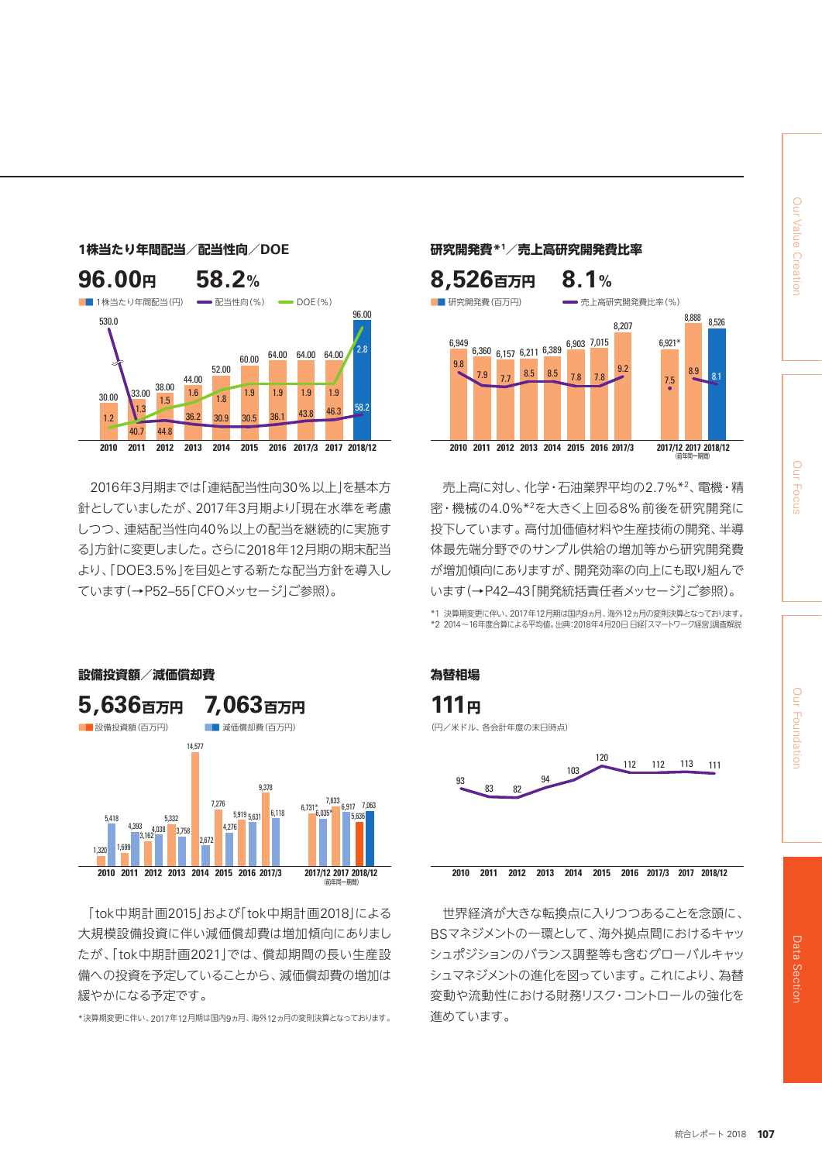



2016年3月期までは「連結配当性向30%以上」を基本方 針としていましたが、2017年3月期より「現在水準を考慮 しつつ、連結配当性向40%以上の配当を継続的に実施す る」方針に変更しました。さらに2018年12月期の期末配当 より、「DOE3.5%」を目処とする新たな配当方針を導入し ています(→P52–55「CFOメッセージ」ご参照)。



「tok中期計画2015」および「tok中期計画2018」による 大規模設備投資に伴い減価償却費は増加傾向にありまし たが、「tok中期計画2021」では、償却期間の長い生産設 備への投資を予定していることから、減価償却費の増加は 緩やかになる予定です。

\*決算期変更に伴い、2017年12月期は国内9ヵ月、海外12ヵ月の変則決算となっております。

# **/売上高研究開発費比率**



売上高に対し、化学・石油業界平均の2.7%\*2 、電機・精 密・機械の4.0%\*2を大きく上回る8%前後を研究開発に 投下しています。高付加価値材料や生産技術の開発、半導 体最先端分野でのサンプル供給の増加等から研究開発費 が増加傾向にありますが、開発効率の向上にも取り組んで います(→P42–43「開発統括責任者メッセージ」ご参照)。

\*1 決算期変更に伴い、2017年12月期は国内9ヵ月、海外12ヵ月の変則決算となっております。 \*2 2014~16年度合算による平均値。出典:2018年4月20日 日経「スマートワーク経営」調査解説





世界経済が大きな転換点に入りつつあることを念頭に、 BSマネジメントの一環として、海外拠点間におけるキャッ シュポジションのバランス調整等も含むグローバルキャッ シュマネジメントの進化を図っています。これにより、為替 変動や流動性における財務リスク・コントロールの強化を 進めています。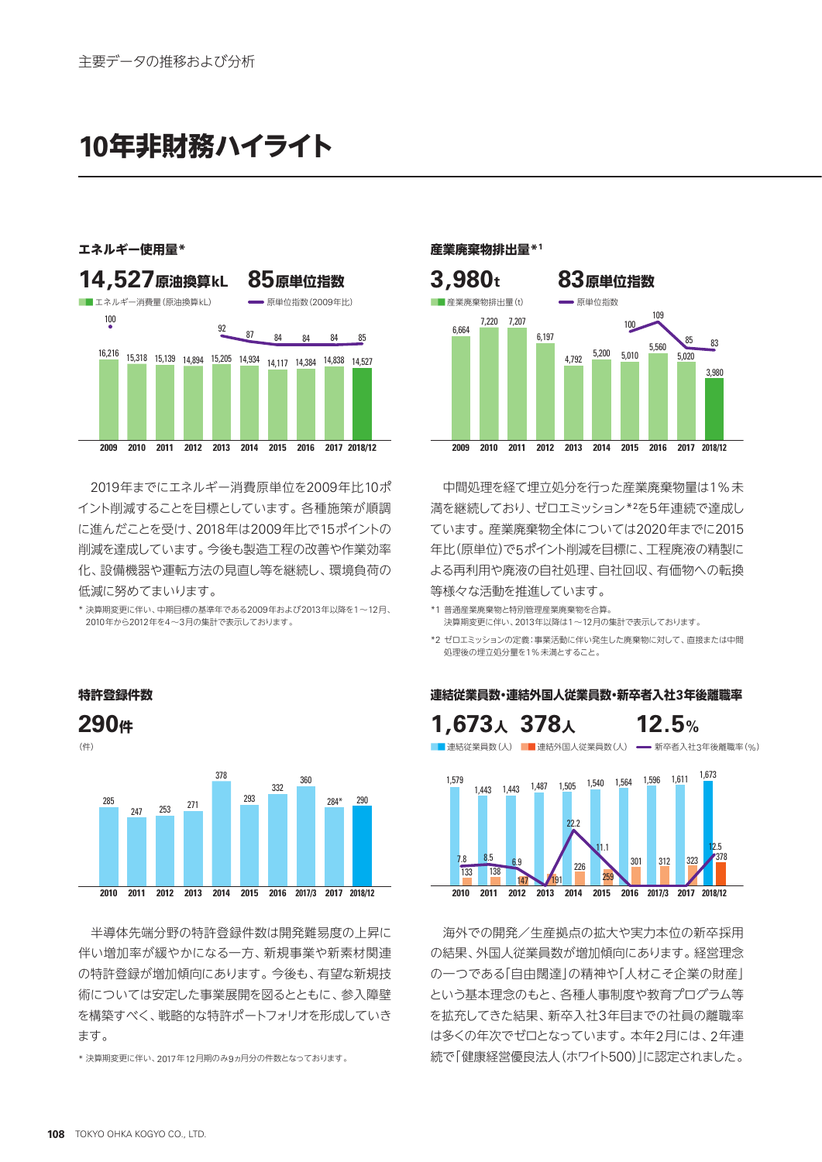**10年非財務ハイライト**



2019年までにエネルギー消費原単位を2009年比10ポ イント削減することを目標としています。各種施策が順調 に進んだことを受け、2018年は2009年比で15ポイントの 削減を達成しています。今後も製造工程の改善や作業効率 化、設備機器や運転方法の見直し等を継続し、環境負荷の 低減に努めてまいります。

\* 決算期変更に伴い、中期目標の基準年である2009年および2013年以降を1~12月、 2010年から2012年を4~3月の集計で表示しております。



半導体先端分野の特許登録件数は開発難易度の上昇に 伴い増加率が緩やかになる一方、新規事業や新素材関連 の特許登録が増加傾向にあります。今後も、有望な新規技 術については安定した事業展開を図るとともに、参入障壁 を構築すべく、戦略的な特許ポートフォリオを形成していき ます。

\* 決算期変更に伴い、2017年12月期のみ9ヵ月分の件数となっております。



中間処理を経て埋立処分を行った産業廃棄物量は1%未 満を継続しており、ゼロエミッション\*²を5年連続で達成し ています。産業廃棄物全体については2020年までに2015 年比(原単位)で5ポイント削減を目標に、工程廃液の精製に よる再利用や廃液の自社処理、自社回収、有価物への転換 等様々な活動を推進しています。

- \*1 普通産業廃棄物と特別管理産業廃棄物を合算。 決算期変更に伴い、2013年以降は1~12月の集計で表示しております。
- \*2 ゼロエミッションの定義:事業活動に伴い発生した廃棄物に対して、直接または中間 処理後の埋立処分量を1%未満とすること。

**12.5%** ■■連結従業員数(人) ■■連結外国人従業員数(人) → 新卒者入社3年後離職率(%) **1,673<sup>人</sup> 378<sup>人</sup> 2016201520142013201220112010 2017/3 2017 2018/12** 1,564 1,596 301 312 323 378  $1,611$   $1,673$ 147 191 259 7.8 8.5 6.9 22.2 11.1 12.5 133 138 147 191 191 1,443 1,443 1,487 1,505 1,540 1,564 1,579

海外での開発/生産拠点の拡大や実力本位の新卒採用 の結果、外国人従業員数が増加傾向にあります。経営理念 の一つである「自由闊達」の精神や「人材こそ企業の財産」 という基本理念のもと、各種人事制度や教育プログラム等 を拡充してきた結果、新卒入社3年目までの社員の離職率 は多くの年次でゼロとなっています。本年2月には、2年連 続で「健康経営優良法人(ホワイト500)」に認定されました。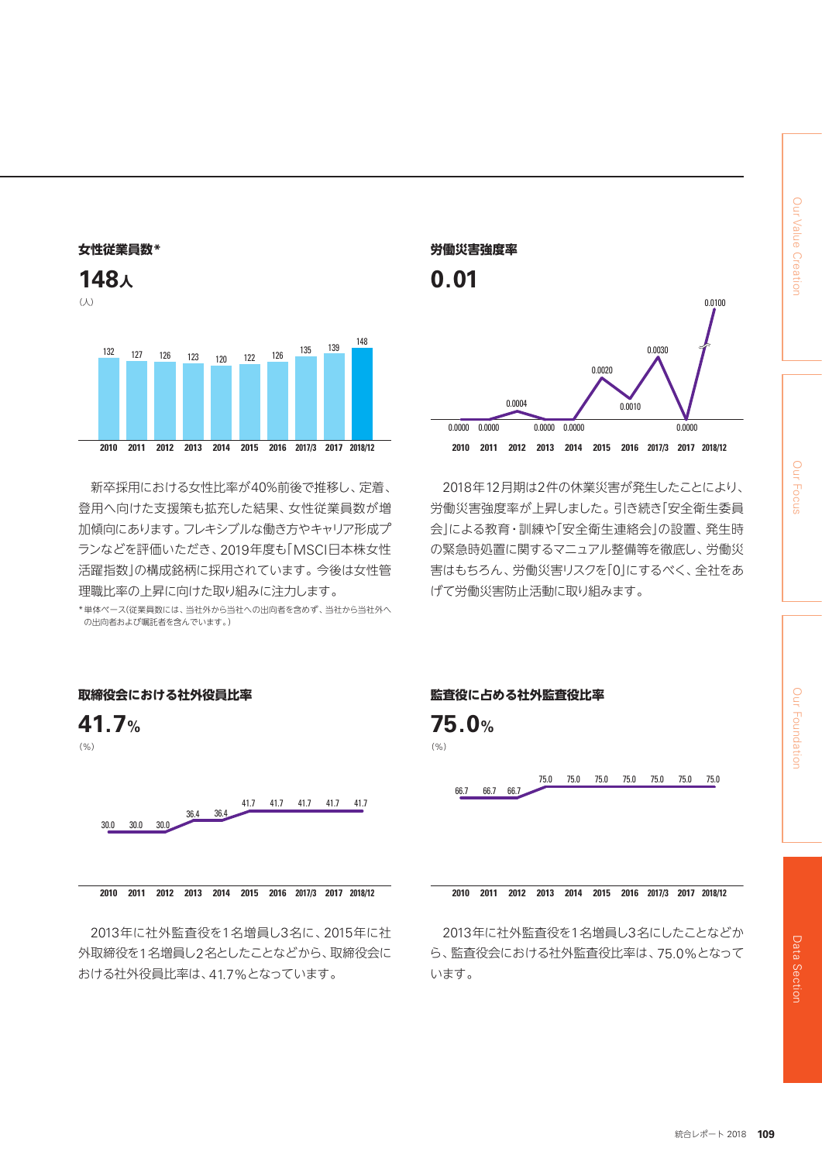



新卒採用における女性比率が40%前後で推移し、定着、 登用へ向けた支援策も拡充した結果、女性従業員数が増 加傾向にあります。フレキシブルな働き方やキャリア形成プ ランなどを評価いただき、2019年度も「MSCI日本株女性 活躍指数」の構成銘柄に採用されています。今後は女性管 理職比率の上昇に向けた取り組みに注力します。

\* 単体ベース(従業員数には、当社外から当社への出向者を含めず、当社から当社外へ の出向者および嘱託者を含んでいます。)



2018年12月期は2件の休業災害が発生したことにより、 労働災害強度率が上昇しました。引き続き「安全衛生委員 会」による教育・訓練や「安全衛生連絡会」の設置、発生時 の緊急時処置に関するマニュアル整備等を徹底し、労働災 害はもちろん、労働災害リスクを「0」にするべく、全社をあ げて労働災害防止活動に取り組みます。



2013年に社外監査役を1名増員し3名に、2015年に社 外取締役を1名増員し2名としたことなどから、取締役会に おける社外役員比率は、41.7%となっています。

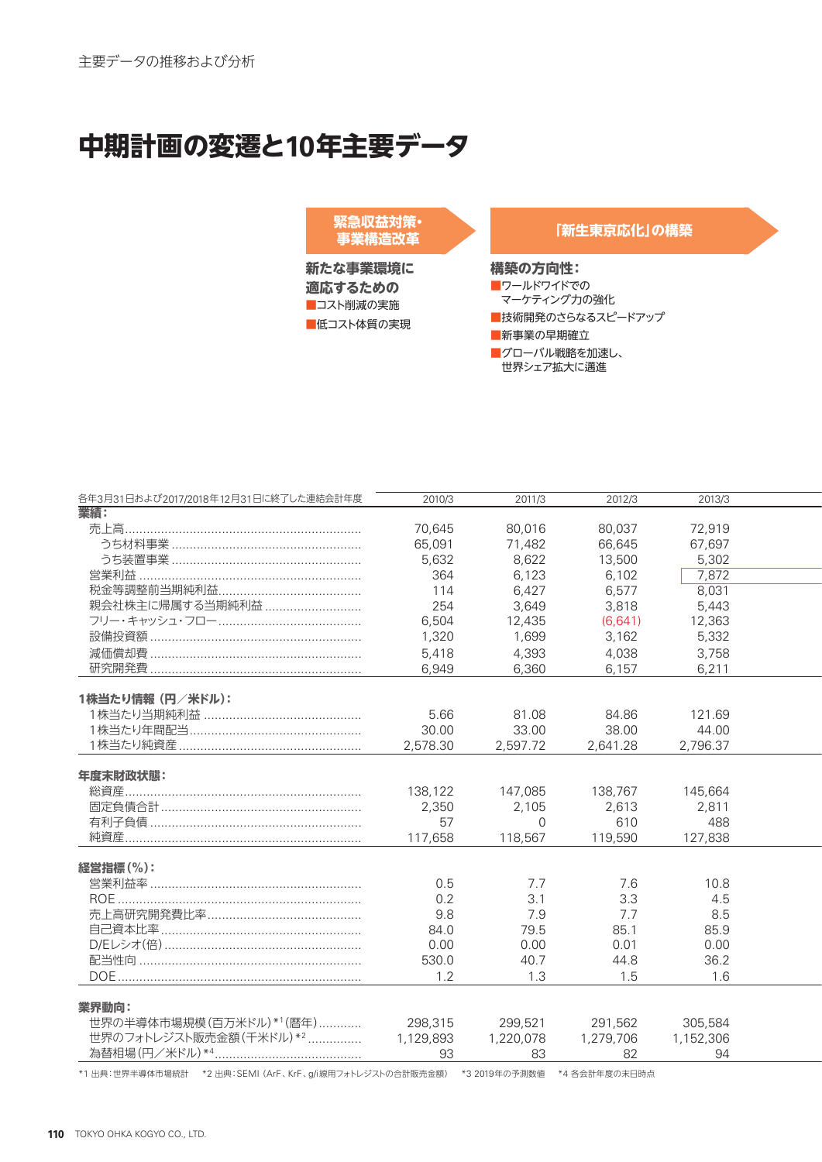# **中期計画の変遷と10年主要データ**

**緊急収益対策・ 事業構造改革**

**新たな事業環境に 適応するための** ■コスト削減の実施 ■低コスト体質の実現

**「新生東京応化」の構築**

**構築の方向性:**

■ワールドワイドでの マーケティング力の強化 ■技術開発のさらなるスピードアップ ■新事業の早期確立 ■グローバル戦略を加速し、 世界シェア拡大に邁進

| 2010/3          | 2011/3                                                                                                          | 2012/3                                                                                                                    |                                                                                                                       |                                                                                                                                           |
|-----------------|-----------------------------------------------------------------------------------------------------------------|---------------------------------------------------------------------------------------------------------------------------|-----------------------------------------------------------------------------------------------------------------------|-------------------------------------------------------------------------------------------------------------------------------------------|
|                 |                                                                                                                 |                                                                                                                           |                                                                                                                       |                                                                                                                                           |
| 70,645          | 80,016                                                                                                          | 80,037                                                                                                                    | 72,919                                                                                                                |                                                                                                                                           |
| 65,091          | 71,482                                                                                                          | 66,645                                                                                                                    | 67,697                                                                                                                |                                                                                                                                           |
| 5,632           | 8,622                                                                                                           | 13,500                                                                                                                    | 5,302                                                                                                                 |                                                                                                                                           |
| 364             | 6,123                                                                                                           | 6,102                                                                                                                     |                                                                                                                       |                                                                                                                                           |
| 114             | 6,427                                                                                                           | 6,577                                                                                                                     | 8,031                                                                                                                 |                                                                                                                                           |
|                 |                                                                                                                 |                                                                                                                           |                                                                                                                       |                                                                                                                                           |
|                 |                                                                                                                 |                                                                                                                           |                                                                                                                       |                                                                                                                                           |
|                 |                                                                                                                 |                                                                                                                           |                                                                                                                       |                                                                                                                                           |
|                 |                                                                                                                 |                                                                                                                           |                                                                                                                       |                                                                                                                                           |
|                 |                                                                                                                 |                                                                                                                           |                                                                                                                       |                                                                                                                                           |
|                 |                                                                                                                 |                                                                                                                           |                                                                                                                       |                                                                                                                                           |
|                 |                                                                                                                 |                                                                                                                           |                                                                                                                       |                                                                                                                                           |
|                 |                                                                                                                 |                                                                                                                           |                                                                                                                       |                                                                                                                                           |
|                 |                                                                                                                 |                                                                                                                           |                                                                                                                       |                                                                                                                                           |
|                 |                                                                                                                 |                                                                                                                           |                                                                                                                       |                                                                                                                                           |
| 2,578.30        |                                                                                                                 | 2,641.28                                                                                                                  | 2,796.37                                                                                                              |                                                                                                                                           |
|                 |                                                                                                                 |                                                                                                                           |                                                                                                                       |                                                                                                                                           |
|                 |                                                                                                                 |                                                                                                                           |                                                                                                                       |                                                                                                                                           |
| 138,122         | 147,085                                                                                                         | 138,767                                                                                                                   | 145,664                                                                                                               |                                                                                                                                           |
|                 |                                                                                                                 |                                                                                                                           |                                                                                                                       |                                                                                                                                           |
|                 | $\Omega$                                                                                                        |                                                                                                                           |                                                                                                                       |                                                                                                                                           |
|                 |                                                                                                                 |                                                                                                                           |                                                                                                                       |                                                                                                                                           |
|                 |                                                                                                                 |                                                                                                                           |                                                                                                                       |                                                                                                                                           |
|                 |                                                                                                                 |                                                                                                                           |                                                                                                                       |                                                                                                                                           |
|                 |                                                                                                                 |                                                                                                                           |                                                                                                                       |                                                                                                                                           |
|                 |                                                                                                                 |                                                                                                                           |                                                                                                                       |                                                                                                                                           |
|                 |                                                                                                                 |                                                                                                                           |                                                                                                                       |                                                                                                                                           |
|                 |                                                                                                                 |                                                                                                                           |                                                                                                                       |                                                                                                                                           |
|                 |                                                                                                                 |                                                                                                                           |                                                                                                                       |                                                                                                                                           |
| 0.00            | 0.00                                                                                                            | 0.01                                                                                                                      | 0.00                                                                                                                  |                                                                                                                                           |
| 530.0           | 40.7                                                                                                            | 44.8                                                                                                                      | 36.2                                                                                                                  |                                                                                                                                           |
| 1.2             | 1.3                                                                                                             | 1.5                                                                                                                       | 1.6                                                                                                                   |                                                                                                                                           |
|                 |                                                                                                                 |                                                                                                                           |                                                                                                                       |                                                                                                                                           |
|                 |                                                                                                                 |                                                                                                                           |                                                                                                                       |                                                                                                                                           |
|                 |                                                                                                                 |                                                                                                                           |                                                                                                                       |                                                                                                                                           |
|                 |                                                                                                                 |                                                                                                                           |                                                                                                                       |                                                                                                                                           |
| 298,315         | 299,521                                                                                                         | 291,562                                                                                                                   | 305,584                                                                                                               |                                                                                                                                           |
| 1,129,893<br>93 | 1,220,078<br>83                                                                                                 | 1,279,706<br>82                                                                                                           | 1,152,306<br>94                                                                                                       |                                                                                                                                           |
|                 | 254<br>6,504<br>1,320<br>5,418<br>6,949<br>5.66<br>30.00<br>2,350<br>57<br>117,658<br>0.5<br>0.2<br>9.8<br>84.0 | 3,649<br>12,435<br>1,699<br>4,393<br>6,360<br>81.08<br>33.00<br>2,597.72<br>2,105<br>118,567<br>7.7<br>3.1<br>7.9<br>79.5 | 3,818<br>(6,641)<br>3,162<br>4,038<br>6.157<br>84.86<br>38.00<br>2,613<br>610<br>119,590<br>7.6<br>3.3<br>7.7<br>85.1 | 2013/3<br>7,872<br>5,443<br>12,363<br>5,332<br>3,758<br>6,211<br>121.69<br>44.00<br>2,811<br>488<br>127,838<br>10.8<br>4.5<br>8.5<br>85.9 |

**110** TOKYO OHKA KOGYO CO., LTD.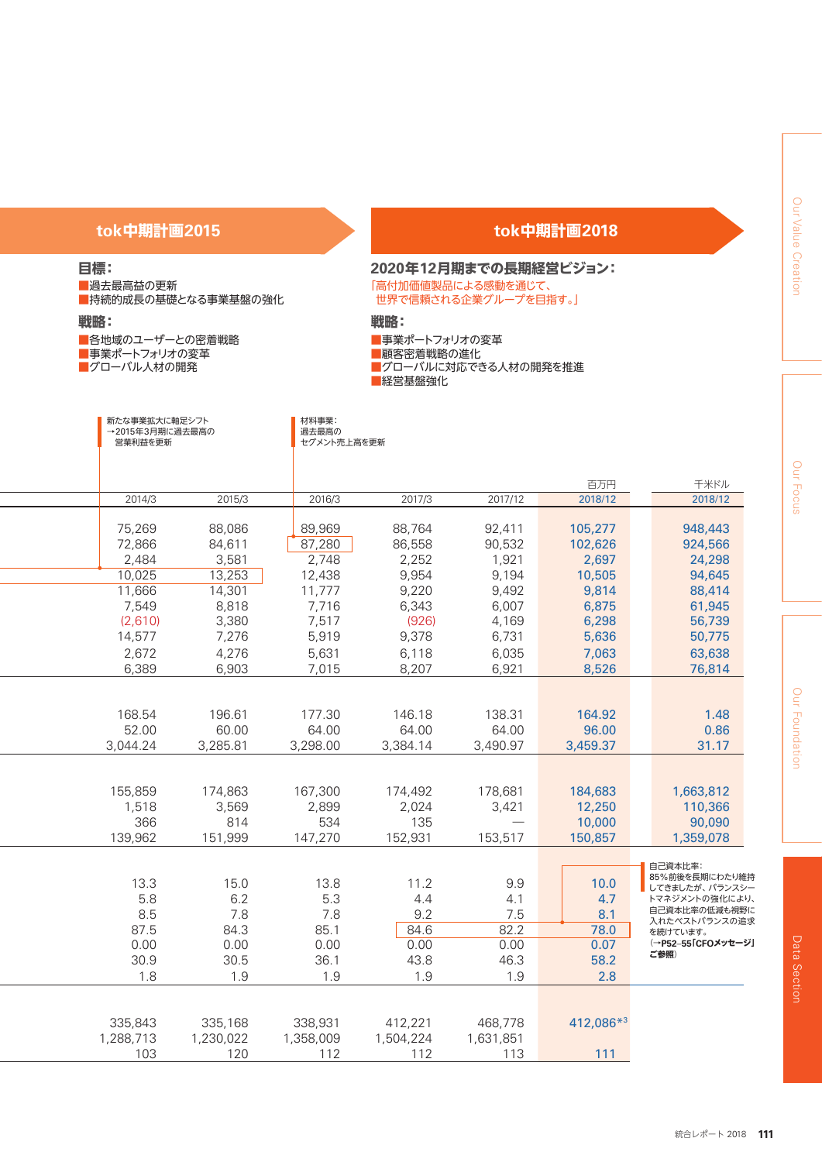# **tok中期計画2015**

# **目標:**

■過去最高益の更新 ■持続的成長の基礎となる事業基盤の強化

**戦略:**

■各地域のユーザーとの密着戦略 ■事業ポートフォリオの変革 ■グローバル人材の開発

# **tok中期計画2018**

#### **2020年12月期までの長期経営ビジョン:** 「高付加価値製品による感動を通じて、 世界で信頼される企業グループを目指す。」

**戦略:**

■事業ポートフォリオの変革 ■顧客密着戦略の進化 ■グローバルに対応できる人材の開発を推進 ■経営基盤強化

| 新たな事業拡大に軸足シフト<br>→2015年3月期に過去最高の<br>営業利益を更新 |                  | 材料事業:<br>過去最高の<br>セグメント売上高を更新 |                  |                          |                    |                                 |
|---------------------------------------------|------------------|-------------------------------|------------------|--------------------------|--------------------|---------------------------------|
|                                             |                  |                               |                  |                          | 百万円                | 千米ドル                            |
| 2014/3                                      | 2015/3           | 2016/3                        | 2017/3           | 2017/12                  | 2018/12            | 2018/12                         |
|                                             |                  |                               |                  |                          |                    |                                 |
| 75,269<br>72,866                            | 88,086<br>84,611 | 89,969<br>87,280              | 88,764<br>86,558 | 92,411<br>90,532         | 105,277<br>102,626 | 948,443<br>924,566              |
| 2,484                                       | 3,581            | 2,748                         | 2,252            | 1,921                    | 2,697              | 24,298                          |
| 10,025                                      | 13,253           | 12,438                        | 9,954            | 9,194                    | 10,505             | 94,645                          |
| 11,666                                      | 14,301           | 11,777                        | 9,220            | 9,492                    | 9,814              | 88,414                          |
| 7,549                                       | 8,818            | 7,716                         | 6,343            | 6,007                    | 6,875              | 61,945                          |
| (2,610)                                     | 3,380            | 7,517                         | (926)            | 4,169                    | 6,298              | 56,739                          |
| 14,577                                      | 7,276            | 5,919                         | 9,378            | 6,731                    | 5,636              | 50,775                          |
| 2,672                                       | 4,276            | 5,631                         | 6,118            | 6,035                    | 7,063              | 63,638                          |
| 6,389                                       | 6,903            | 7,015                         | 8,207            | 6,921                    | 8,526              | 76,814                          |
|                                             |                  |                               |                  |                          |                    |                                 |
|                                             |                  |                               |                  |                          |                    |                                 |
| 168.54<br>52.00                             | 196.61<br>60.00  | 177.30<br>64.00               | 146.18<br>64.00  | 138.31<br>64.00          | 164.92<br>96.00    | 1.48<br>0.86                    |
| 3,044.24                                    | 3,285.81         | 3,298.00                      | 3,384.14         | 3,490.97                 | 3,459.37           | 31.17                           |
|                                             |                  |                               |                  |                          |                    |                                 |
|                                             |                  |                               |                  |                          |                    |                                 |
| 155,859                                     | 174,863          | 167,300                       | 174,492          | 178,681                  | 184,683            | 1,663,812                       |
| 1,518                                       | 3,569            | 2,899                         | 2,024            | 3,421                    | 12,250             | 110,366                         |
| 366                                         | 814              | 534                           | 135              | $\overline{\phantom{a}}$ | 10,000             | 90,090                          |
| 139,962                                     | 151,999          | 147,270                       | 152,931          | 153,517                  | 150,857            | 1,359,078                       |
|                                             |                  |                               |                  |                          |                    |                                 |
|                                             |                  |                               |                  |                          |                    | 自己資本比率:<br>85%前後を長期にわたり維持       |
| 13.3                                        | 15.0             | 13.8                          | 11.2             | 9.9                      | 10.0               | してきましたが、バランスシー                  |
| 5.8                                         | 6.2              | 5.3                           | 4.4              | 4.1                      | 4.7                | トマネジメントの強化により、<br>自己資本比率の低減も視野に |
| 8.5<br>87.5                                 | 7.8<br>84.3      | 7.8<br>85.1                   | 9.2<br>84.6      | 7.5<br>82.2              | 8.1<br>78.0        | 入れたベストバランスの追求                   |
| 0.00                                        | 0.00             | 0.00                          | 0.00             | 0.00                     | 0.07               | を続けています。<br>(→P52-55「CFOメッセージ」  |
| 30.9                                        | 30.5             | 36.1                          | 43.8             | 46.3                     | 58.2               | ご参照)                            |
| 1.8                                         | 1.9              | 1.9                           | 1.9              | 1.9                      | 2.8                |                                 |
|                                             |                  |                               |                  |                          |                    |                                 |
|                                             |                  |                               |                  |                          |                    |                                 |
| 335,843                                     | 335,168          | 338,931                       | 412,221          | 468,778                  | 412,086*3          |                                 |
| 1,288,713                                   | 1,230,022        | 1,358,009                     | 1,504,224        | 1,631,851                |                    |                                 |
| 103                                         | 120              | 112                           | 112              | 113                      | 111                |                                 |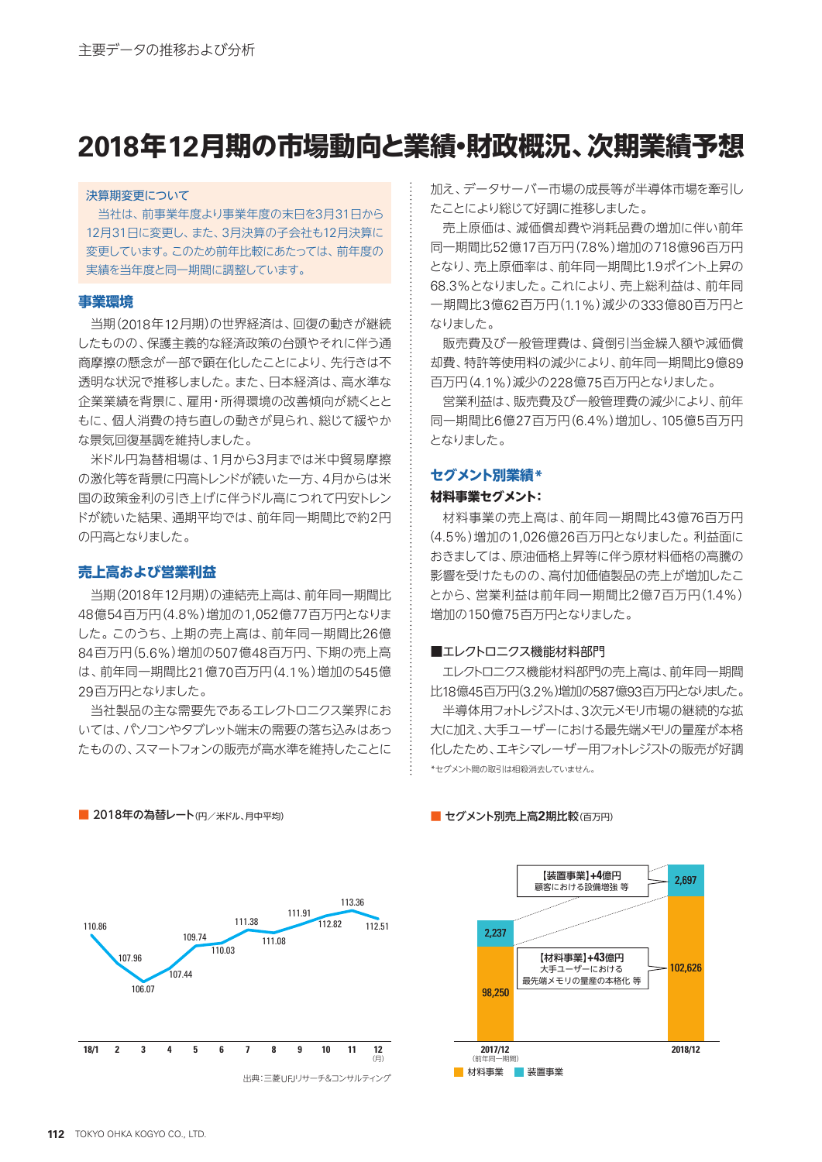# **2018年12月期の市場動向と業績・財政概況、次期業績予想**

#### 決算期変更について

 当社は、前事業年度より事業年度の末日を3月31日から 12月31日に変更し、また、3月決算の子会社も12月決算に 変更しています。このため前年比較にあたっては、前年度の 実績を当年度と同一期間に調整しています。

### **事業環境**

当期(2018年12月期)の世界経済は、回復の動きが継続 したものの、保護主義的な経済政策の台頭やそれに伴う通 商摩擦の懸念が一部で顕在化したことにより、先行きは不 透明な状況で推移しました。また、日本経済は、高水準な 企業業績を背景に、雇用・所得環境の改善傾向が続くとと もに、個人消費の持ち直しの動きが見られ、総じて緩やか な景気回復基調を維持しました。

米ドル円為替相場は、1月から3月までは米中貿易摩擦 の激化等を背景に円高トレンドが続いた一方、4月からは米 国の政策金利の引き上げに伴うドル高につれて円安トレン ドが続いた結果、通期平均では、前年同一期間比で約2円 の円高となりました。

### **売上高および営業利益**

当期(2018年12月期)の連結売上高は、前年同一期間比 48億54百万円(4.8%)増加の1,052億77百万円となりま した。このうち、上期の売上高は、前年同一期間比26億 84百万円(5.6%)増加の507億48百万円、下期の売上高 は、前年同一期間比21億70百万円(4.1%)増加の545億 29百万円となりました。

当社製品の主な需要先であるエレクトロニクス業界にお いては、パソコンやタブレット端末の需要の落ち込みはあっ たものの、スマートフォンの販売が高水準を維持したことに 加え、データサーバー市場の成長等が半導体市場を牽引し たことにより総じて好調に推移しました。

売上原価は、減価償却費や消耗品費の増加に伴い前年 同一期間比52億17百万円(7.8%)増加の718億96百万円 となり、売上原価率は、前年同一期間比1.9ポイント上昇の 68.3%となりました。これにより、売上総利益は、前年同 一期間比3億62百万円(1.1%)減少の333億80百万円と なりました。

販売費及び一般管理費は、貸倒引当金繰入額や減価償 却費、特許等使用料の減少により、前年同一期間比9億89 百万円(4.1%)減少の228億75百万円となりました。

営業利益は、販売費及び一般管理費の減少により、前年 同一期間比6億27百万円(6.4%)増加し、105億5百万円 となりました。

#### **セグメント別業績\***

### **材料事業セグメント:**

材料事業の売上高は、前年同一期間比43億76百万円 (4.5%)増加の1,026億26百万円となりました。利益面に おきましては、原油価格上昇等に伴う原材料価格の高騰の 影響を受けたものの、高付加価値製品の売上が増加したこ とから、営業利益は前年同一期間比2億7百万円(1.4%) 増加の150億75百万円となりました。

#### ■エレクトロニクス機能材料部門

エレクトロニクス機能材料部門の売上高は、前年同一期間 比18億45百万円(3.2%)増加の587億93百万円となりました。

半導体用フォトレジストは、3次元メモリ市場の継続的な拡 大に加え、大手ユーザーにおける最先端メモリの量産が本格 化したため、エキシマレーザー用フォトレジストの販売が好調 \*セグメント間の取引は相殺消去していません。

#### ■ セグメント別売上高**2**期比較(百万円)



**2017/12 2018/12** 102,626 98,250 2,237 2,697 ■ 材料事業 ■ 装置事業 (前年日 【装置事業】**+4**億円 顧客における設備増強 等 【材料事業】**+43**億円 大手ユーザーにおける 最先端メモリの量産の本格化 等

■ 2018年の為替レート(円/米ドル、月中平均)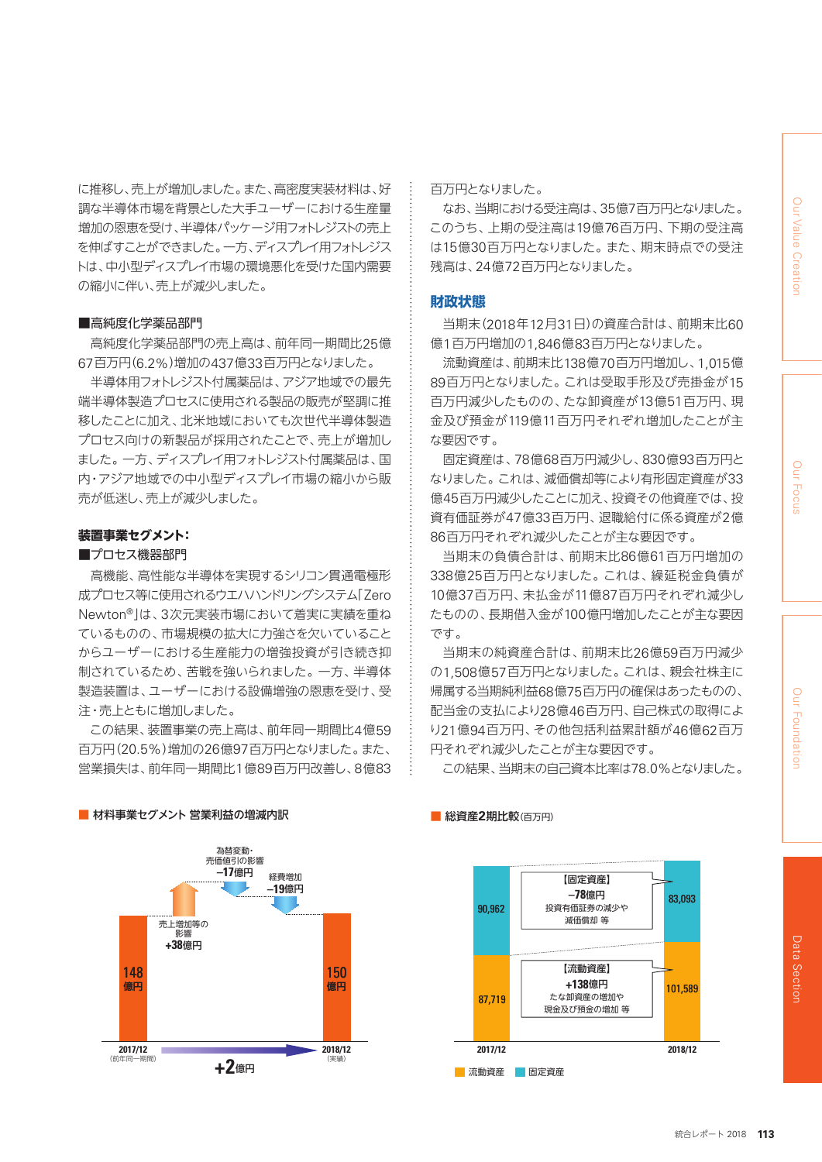に推移し、売上が増加しました。また、高密度実装材料は、好 調な半導体市場を背景とした大手ユーザーにおける生産量 増加の恩恵を受け、半導体パッケージ用フォトレジストの売上 を伸ばすことができました。一方、ディスプレイ用フォトレジス トは、中小型ディスプレイ市場の環境悪化を受けた国内需要 の縮小に伴い、売上が減少しました。

#### ■高純度化学薬品部門

高純度化学薬品部門の売上高は、前年同一期間比25億 67百万円(6.2%)増加の437億33百万円となりました。

半導体用フォトレジスト付属薬品は、アジア地域での最先 端半導体製造プロセスに使用される製品の販売が堅調に推 移したことに加え、北米地域においても次世代半導体製造 プロセス向けの新製品が採用されたことで、売上が増加し ました。一方、ディスプレイ用フォトレジスト付属薬品は、国 内・アジア地域での中小型ディスプレイ市場の縮小から販 売が低迷し、売上が減少しました。

#### **装置事業セグメント:**

#### ■プロセス機器部門

高機能、高性能な半導体を実現するシリコン貫通電極形 成プロセス等に使用されるウエハハンドリングシステム「Zero Newton®」は、3次元実装市場において着実に実績を重ね ているものの、市場規模の拡大に力強さを欠いていること からユーザーにおける生産能力の増強投資が引き続き抑 制されているため、苦戦を強いられました。一方、半導体 製造装置は、ユーザーにおける設備増強の恩恵を受け、受 注・売上ともに増加しました。

この結果、装置事業の売上高は、前年同一期間比4億59 百万円(20.5%)増加の26億97百万円となりました。また、 営業損失は、前年同一期間比1億89百万円改善し、8億83

# 百万円となりました。

なお、当期における受注高は、35億7百万円となりました。 このうち、上期の受注高は19億76百万円、下期の受注高 は15億30百万円となりました。また、期末時点での受注 残高は、24億72百万円となりました。

#### **財政状態**

当期末(2018年12月31日)の資産合計は、前期末比60 億1百万円増加の1,846億83百万円となりました。

流動資産は、前期末比138億70百万円増加し、1,015億 89百万円となりました。これは受取手形及び売掛金が15 百万円減少したものの、たな卸資産が13億51百万円、現 金及び預金が119億11百万円それぞれ増加したことが主 な要因です。

固定資産は、78億68百万円減少し、830億93百万円と なりました。これは、減価償却等により有形固定資産が33 億45百万円減少したことに加え、投資その他資産では、投 資有価証券が47億33百万円、退職給付に係る資産が2億 86百万円それぞれ減少したことが主な要因です。

当期末の負債合計は、前期末比86億61百万円増加の 338億25百万円となりました。これは、繰延税金負債が 10億37百万円、未払金が11億87百万円それぞれ減少し たものの、長期借入金が100億円増加したことが主な要因 です。

当期末の純資産合計は、前期末比26億59百万円減少 の1,508億57百万円となりました。これは、親会社株主に 帰属する当期純利益68億75百万円の確保はあったものの、 配当金の支払により28億46百万円、自己株式の取得によ り21億94百万円、その他包括利益累計額が46億62百万 円それぞれ減少したことが主な要因です。

この結果、当期末の自己資本比率は78.0%となりました。



■ 材料事業セグメント 営業利益の増減内訳

#### ■ 総資産**2**期比較(百万円)

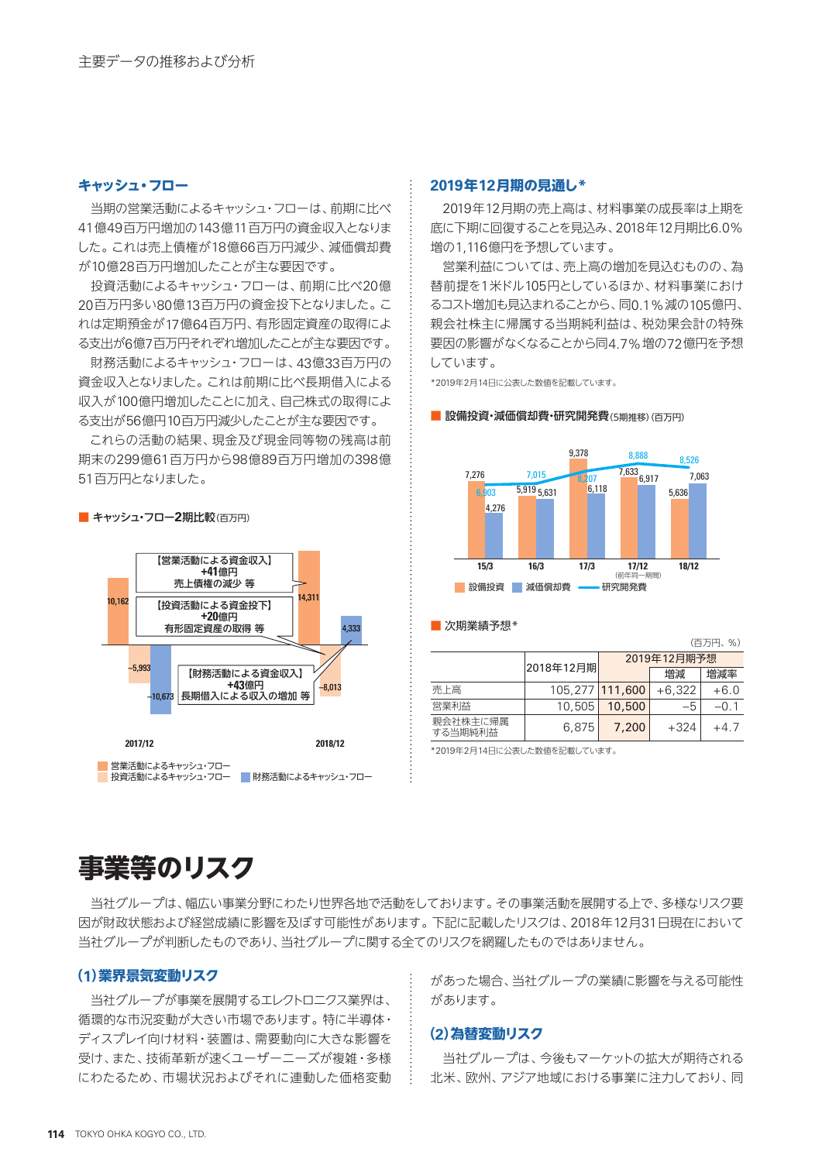### **キャッシュ・フロー**

当期の営業活動によるキャッシュ・フローは、前期に比べ 41億49百万円増加の143億11百万円の資金収入となりま した。これは売上債権が18億66百万円減少、減価償却費 が10億28百万円増加したことが主な要因です。

投資活動によるキャッシュ・フローは、前期に比べ20億 20百万円多い80億13百万円の資金投下となりました。こ れは定期預金が17億64百万円、有形固定資産の取得によ る支出が6億7百万円それぞれ増加したことが主な要因です。

財務活動によるキャッシュ・フローは、43億33百万円の 資金収入となりました。これは前期に比べ長期借入による 収入が100億円増加したことに加え、自己株式の取得によ る支出が56億円10百万円減少したことが主な要因です。

これらの活動の結果、現金及び現金同等物の残高は前 期末の299億61百万円から98億89百万円増加の398億 51百万円となりました。

【営業活動による資金収入】

■ キャッシュ・フロー2期比較(百万円)



■ 投資活動によるキャッシュ・フロー ■ 財務活動によるキャッシュ・フロー

#### **2019年12月期の見通し\***

2019年12月期の売上高は、材料事業の成長率は上期を 底に下期に回復することを見込み、2018年12月期比6.0% 増の1,116億円を予想しています。

営業利益については、売上高の増加を見込むものの、為 替前提を1米ドル105円としているほか、材料事業におけ るコスト増加も見込まれることから、同0.1%減の105億円、 親会社株主に帰属する当期純利益は、税効果会計の特殊 要因の影響がなくなることから同4.7%増の72億円を予想 しています。

\*2019年2月14日に公表した数値を記載しています。

#### ■ 設備投資・減価償却費・研究開発費(5期推移)(百万円)



#### ■ 次期業績予想\*

|                     |                 |             |          | (百万円、%) |  |  |  |
|---------------------|-----------------|-------------|----------|---------|--|--|--|
|                     | 2018年12月期       | 2019年12月期予想 |          |         |  |  |  |
|                     |                 |             | 増減       | 増減率     |  |  |  |
| 売上高                 | 105.277 111.600 |             | $+6.322$ | $+6.0$  |  |  |  |
| 営業利益                | 10.505          | 10,500      | -5       | $-0.1$  |  |  |  |
| 親会社株主に帰属<br>する当期純利益 | 6.875           | 7,200       | $+324$   | $+47$   |  |  |  |

\*2019年2月14日に公表した数値を記載しています。

# **事業等のリスク**

当社グループは、幅広い事業分野にわたり世界各地で活動をしております。その事業活動を展開する上で、多様なリスク要 因が財政状態および経営成績に影響を及ぼす可能性があります。下記に記載したリスクは、2018年12月31日現在において 当社グループが判断したものであり、当社グループに関する全てのリスクを網羅したものではありません。

# **(1)業界景気変動リスク**

当社グループが事業を展開するエレクトロニクス業界は、 循環的な市況変動が大きい市場であります。特に半導体・ ディスプレイ向け材料・装置は、需要動向に大きな影響を 受け、また、技術革新が速くユーザーニーズが複雑・多様 にわたるため、市場状況およびそれに連動した価格変動 があった場合、当社グループの業績に影響を与える可能性 があります。

#### **(2)為替変動リスク**

当社グループは、今後もマーケットの拡大が期待される 北米、欧州、アジア地域における事業に注力しており、同